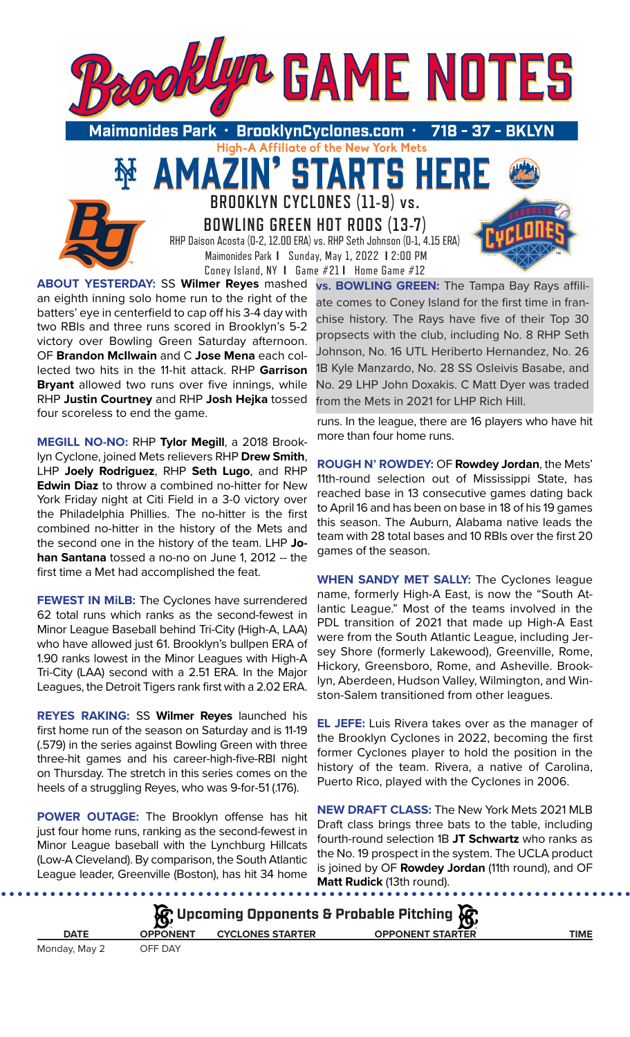

High-A Affiliate of the New York Mets

TARTS HE

**BROOKLYN CYCLONES (11-9) vs.** 

51

**BOWLING GREEN HOT RODS (13-7)** RHP Daison Acosta (0-2, 12.00 ERA) vs. RHP Seth Johnson (0-1, 4.15 ERA) Maimonides Park **I** Sunday, May 1, 2022 **I** 2:00 PM

Coney Island, NY **I** Game #21 **I** Home Game #12 **ABOUT YESTERDAY:** SS **Wilmer Reyes** mashed an eighth inning solo home run to the right of the batters' eye in centerfield to cap off his 3-4 day with two RBIs and three runs scored in Brooklyn's 5-2 victory over Bowling Green Saturday afternoon. OF **Brandon McIlwain** and C **Jose Mena** each collected two hits in the 11-hit attack. RHP **Garrison Bryant** allowed two runs over five innings, while RHP **Justin Courtney** and RHP **Josh Hejka** tossed four scoreless to end the game.

MA

**MEGILL NO-NO:** RHP **Tylor Megill**, a 2018 Brooklyn Cyclone, joined Mets relievers RHP **Drew Smith**, LHP **Joely Rodriguez**, RHP **Seth Lugo**, and RHP **Edwin Diaz** to throw a combined no-hitter for New York Friday night at Citi Field in a 3-0 victory over the Philadelphia Phillies. The no-hitter is the first combined no-hitter in the history of the Mets and the second one in the history of the team. LHP **Johan Santana** tossed a no-no on June 1, 2012 -- the first time a Met had accomplished the feat.

**FEWEST IN MiLB:** The Cyclones have surrendered 62 total runs which ranks as the second-fewest in Minor League Baseball behind Tri-City (High-A, LAA) who have allowed just 61. Brooklyn's bullpen ERA of 1.90 ranks lowest in the Minor Leagues with High-A Tri-City (LAA) second with a 2.51 ERA. In the Major Leagues, the Detroit Tigers rank first with a 2.02 ERA.

**REYES RAKING:** SS **Wilmer Reyes** launched his first home run of the season on Saturday and is 11-19 (.579) in the series against Bowling Green with three three-hit games and his career-high-five-RBI night on Thursday. The stretch in this series comes on the heels of a struggling Reyes, who was 9-for-51 (.176).

**POWER OUTAGE:** The Brooklyn offense has hit just four home runs, ranking as the second-fewest in Minor League baseball with the Lynchburg Hillcats (Low-A Cleveland). By comparison, the South Atlantic League leader, Greenville (Boston), has hit 34 home

**vs. BOWLING GREEN:** The Tampa Bay Rays affiliate comes to Coney Island for the first time in franchise history. The Rays have five of their Top 30 propsects with the club, including No. 8 RHP Seth Johnson, No. 16 UTL Heriberto Hernandez, No. 26 1B Kyle Manzardo, No. 28 SS Osleivis Basabe, and No. 29 LHP John Doxakis. C Matt Dyer was traded from the Mets in 2021 for LHP Rich Hill.

runs. In the league, there are 16 players who have hit more than four home runs.

**ROUGH N' ROWDEY:** OF **Rowdey Jordan**, the Mets' 11th-round selection out of Mississippi State, has reached base in 13 consecutive games dating back to April 16 and has been on base in 18 of his 19 games this season. The Auburn, Alabama native leads the team with 28 total bases and 10 RBIs over the first 20 games of the season.

**WHEN SANDY MET SALLY:** The Cyclones league name, formerly High-A East, is now the "South Atlantic League." Most of the teams involved in the PDL transition of 2021 that made up High-A East were from the South Atlantic League, including Jersey Shore (formerly Lakewood), Greenville, Rome, Hickory, Greensboro, Rome, and Asheville. Brooklyn, Aberdeen, Hudson Valley, Wilmington, and Winston-Salem transitioned from other leagues.

**EL JEFE:** Luis Rivera takes over as the manager of the Brooklyn Cyclones in 2022, becoming the first former Cyclones player to hold the position in the history of the team. Rivera, a native of Carolina, Puerto Rico, played with the Cyclones in 2006.

**NEW DRAFT CLASS:** The New York Mets 2021 MLB Draft class brings three bats to the table, including fourth-round selection 1B **JT Schwartz** who ranks as the No. 19 prospect in the system. The UCLA product is joined by OF **Rowdey Jordan** (11th round), and OF **Matt Rudick** (13th round).

| $\mathcal{R}$ Upcoming Opponents & Probable Pitching $\mathcal{R}$ |                 |                         |                         |      |  |  |
|--------------------------------------------------------------------|-----------------|-------------------------|-------------------------|------|--|--|
| <b>DATE</b>                                                        | <b>OPPONENT</b> | <b>CYCLONES STARTER</b> | <b>OPPONENT STARTER</b> | TIME |  |  |
| Monday, May 2                                                      | OFF DAY         |                         |                         |      |  |  |

. . . . . . . . . . .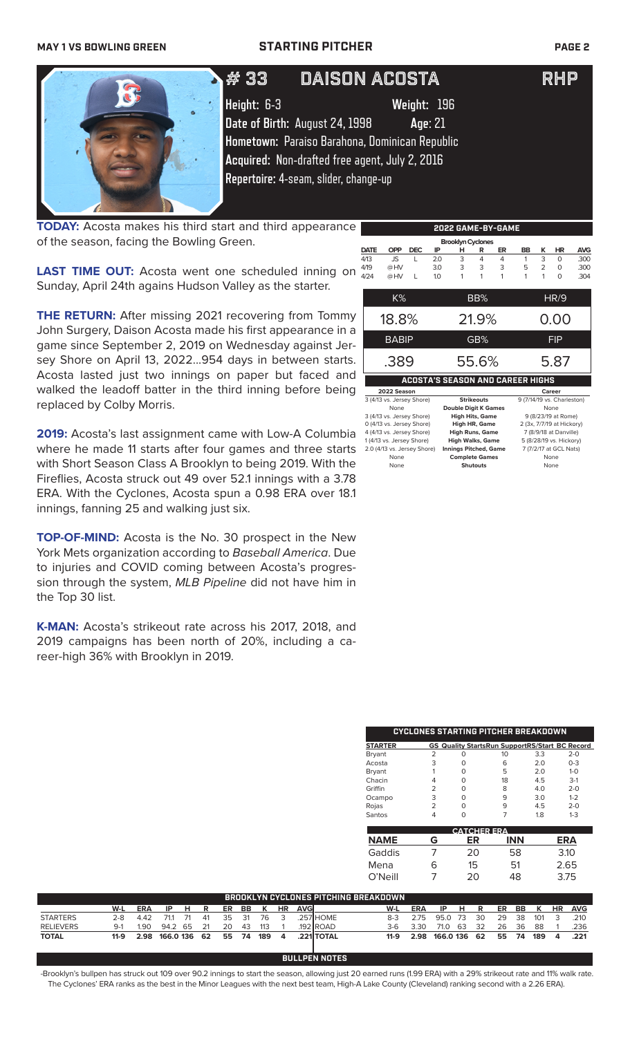### **MAY 1 VS BOWLING GREEN STARTING PITCHER PAGE 2**



**TODAY:** Acosta makes his third start and third appearance of the season, facing the Bowling Green.

**LAST TIME OUT:** Acosta went one scheduled inning on  $479$ Sunday, April 24th agains Hudson Valley as the starter.

**2022 GAME-BY-GAME ACOSTA'S SEASON AND CAREER HIGHS 2022 Season Caree Caree Caree Career Caree Career State Career State Career State Career State Career State Care<br>
2022 Season Strikeouts 9 (7/14/19 vs. Cl 5 (4/14/19 vs. Charles 13) Strikeouts** 9 (7/14/19 vs. Charles None **Double Digit K Games** None<br> **None** High Hits, Game 9 (8/23/19 at Rome) 3 (4/13 vs. Jersey Shore) **High Hits, Game** 9 (8/23/19 at Rome) 0 (4/13 vs. Jersey Shore) **High HR, Game** 2 (3x, 7/7/19 at Hickory) 4 (4/13 vs. Jersey Shore) **High Runs, Game** 7 (8/9/18 at Danville) 1 (4/13 vs. Jersey Shore) **High Walks, Game** 5 (8/28/19 vs. Hickory) 2.0 (4/13 vs. Jersey Shore) None **Complete Games** None  **Brooklyn Cyclones DATE OPP DEC IP H R ER BB K HR AVG** 4/13 JS L 2.0 3 4 4 1 3 0 .300 4/19 @ HV 3.0 3 3 3 5 2 0 .300 4/24 @ HV L 1.0 1 1 1 1 1 0 .304 K% BB% HR/9 18.8% 21.9% 0.00 BABIP **GB%** FIP .389 55.6% 5.87

None **Shutouts** None

**THE RETURN:** After missing 2021 recovering from Tommy John Surgery, Daison Acosta made his first appearance in a game since September 2, 2019 on Wednesday against Jersey Shore on April 13, 2022...954 days in between starts. Acosta lasted just two innings on paper but faced and walked the leadoff batter in the third inning before being replaced by Colby Morris.

**2019:** Acosta's last assignment came with Low-A Columbia where he made 11 starts after four games and three starts with Short Season Class A Brooklyn to being 2019. With the Fireflies, Acosta struck out 49 over 52.1 innings with a 3.78 ERA. With the Cyclones, Acosta spun a 0.98 ERA over 18.1 innings, fanning 25 and walking just six.

**TOP-OF-MIND:** Acosta is the No. 30 prospect in the New York Mets organization according to *Baseball America*. Due to injuries and COVID coming between Acosta's progression through the system, *MLB Pipeline* did not have him in the Top 30 list.

**K-MAN:** Acosta's strikeout rate across his 2017, 2018, and 2019 campaigns has been north of 20%, including a career-high 36% with Brooklyn in 2019.

| CYCLONES STARTING PITCHER BREAKDOWN |   |   |    |     |                                                       |  |  |
|-------------------------------------|---|---|----|-----|-------------------------------------------------------|--|--|
| <b>STARTER</b>                      |   |   |    |     | <b>GS Quality StartsRun SupportRS/Start BC Record</b> |  |  |
| Bryant                              | っ | Ω | 10 | 3.3 | $2 - 0$                                               |  |  |
| Acosta                              | 3 | O | 6  | 2.0 | $0 - 3$                                               |  |  |
| Bryant                              |   | O | 5  | 2.0 | $1 - 0$                                               |  |  |
| Chacin                              | 4 | O | 18 | 4.5 | $3-1$                                                 |  |  |
| Griffin                             | っ | O | 8  | 4.0 | $2 - 0$                                               |  |  |
| Ocampo                              | 3 | O | 9  | 3.0 | $1 - 2$                                               |  |  |
| Rojas                               | っ | ∩ | 9  | 4.5 | $2 - 0$                                               |  |  |
| Santos                              |   |   |    | 18  | $1 - 3$                                               |  |  |

| <b>CATCHER ERA</b> |   |    |     |      |  |
|--------------------|---|----|-----|------|--|
| <b>NAME</b>        | G | ER | INN | ERA  |  |
| Gaddis             |   | 20 | 58  | 3.10 |  |
| Mena               | 6 | 15 | 51  | 2.65 |  |
| O'Neill            |   | 20 | 48  | 3.75 |  |

| BROOKLYN CYCLONES PITCHING BREAKDOWN |         |            |           |    |    |    |       |     |              |      |                   |       |            |              |     |      |       |      |      |              |      |
|--------------------------------------|---------|------------|-----------|----|----|----|-------|-----|--------------|------|-------------------|-------|------------|--------------|-----|------|-------|------|------|--------------|------|
|                                      | W-L     | <b>ERA</b> | -IP       | н. | R  |    | ER BB | K   | <b>HR</b>    | AVGI |                   | W-L   | <b>ERA</b> | -IP          | HR. |      | ER    |      | BB K | HR           | AVG  |
| <b>STARTERS</b>                      | $2 - 8$ | 4.42       | 711       | 71 | 41 |    | 35 31 | -76 |              |      | 257 HOME          | $8-3$ | 275        | 95.0         | -73 | - 30 | 29    | - 38 | 101  | 3            | 210  |
| <b>RELIEVERS</b>                     | $9-1$   | 1.90       | 94.2 65   |    | 21 | 20 | - 43  | 113 |              |      | $.192$ ROAD       | 3-6   | 3.30       | 71.0         | 63  | - 32 | 26    | 36   | 88   |              | 236  |
| <b>TOTAL</b>                         | $11-9$  | 2.98       | 166.0 136 |    | 62 |    | 55 74 | 189 | $\mathbf{A}$ |      | <b>.221 TOTAL</b> | 11-9  | 2.98       | 166.0 136 62 |     |      | 55 74 |      | 189  | $\mathbf{A}$ | .221 |
|                                      |         |            |           |    |    |    |       |     |              |      |                   |       |            |              |     |      |       |      |      |              |      |

**BULLPEN NOTES**

-Brooklyn's bullpen has struck out 109 over 90.2 innings to start the season, allowing just 20 earned runs (1.99 ERA) with a 29% strikeout rate and 11% walk rate. The Cyclones' ERA ranks as the best in the Minor Leagues with the next best team, High-A Lake County (Cleveland) ranking second with a 2.26 ERA).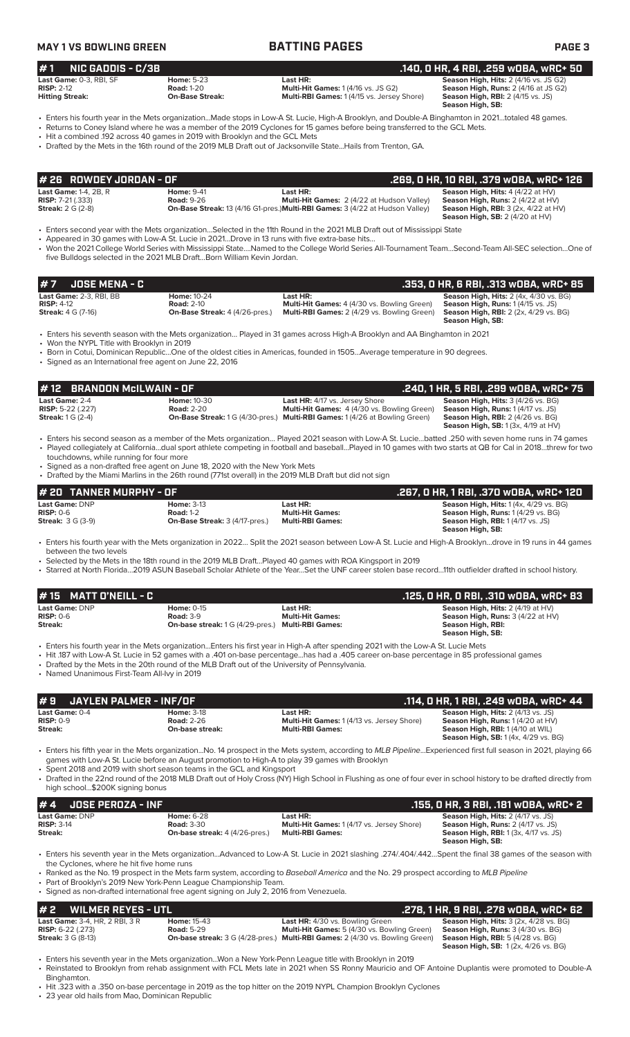**Season High, SB:** 

**Season High, SB:** 2 (4/20 at HV)

**Season High, RBI:** 2 (4/26 vs. BG)<br>**Season High, SB:** 1 (3x, 4/19 at HV)

**Season High, SB:** 

### **MAY 1 VS BOWLING GREEN BATTING PAGES PAGE 3 # 7 JOSE MENA - C .353, 0 HR, 6 RBI, .313 wOBA, wRC+ 85 Last Game:** 2-3, RBI, BB **Home:** 10-24 **Last HR: Season High, Hits:** 2 (4x, 4/30 vs. BG) **RISP:** 4-12 **Road:** 2-10 **Multi-Hit Games:** 4 (4/30 vs. Bowling Green) **Season High, Runs:** 1 (4/15 vs. JS) **Multi-RBI Games:** 2 (4/29 vs. Bowling Green) • Enters his seventh season with the Mets organization… Played in 31 games across High-A Brooklyn and AA Binghamton in 2021 • Won the NYPL Title with Brooklyn in 2019 • Born in Cotui, Dominican Republic…One of the oldest cities in Americas, founded in 1505…Average temperature in 90 degrees. • Signed as an International free agent on June 22, 2016 **# 1 NIC GADDIS - C/3B .140, 0 HR, 4 RBI, .259 wOBA, wRC+ 50 Last Game:** 0-3, RBI, SF **Home:** 5-23 **Last HR: Last HR:** Season High, Hits: 2 (4/16 vs. JS G2) **Season High, Hits:** 2 (4/16 vs. JS G2) **Season High, Runs:** 2 (4/16 vs. JS G2) **RISP:** 2-12 **Road:** 1-20 **Multi-Hit Games:** 1 (4/16 vs. JS G2) **Season High, Runs:** 2 (4/16 at JS G2) **Multi-RBI Games: 1 (4/15 vs. Jersey Shore)** • Enters his fourth year in the Mets organization...Made stops in Low-A St. Lucie, High-A Brooklyn, and Double-A Binghamton in 2021…totaled 48 games. • Returns to Coney Island where he was a member of the 2019 Cyclones for 15 games before being transferred to the GCL Mets. • Hit a combined .192 across 40 games in 2019 with Brooklyn and the GCL Mets • Drafted by the Mets in the 16th round of the 2019 MLB Draft out of Jacksonville State...Hails from Trenton, GA. **Last Game:** 1-4, 2B, R **Home:** 9-41 **Last HR: Season High, Hits:** 4 (4/22 at HV) **RISP:** 7-21 (.333) **Road:** 9-26 **Multi-Hit Games:** 2 (4/22 at Hudson Valley) **Season High, Runs:** 2 (4/22 at HV) **Streak:** 2 G (2-8) **On-Base Streak:** 13 (4/16 G1-pres.)**Multi-RBI Games:** 3 (4/22 at Hudson Valley) **Season High, RBI:** 3 (2x, 4/22 at HV) • Enters second year with the Mets organization…Selected in the 11th Round in the 2021 MLB Draft out of Mississippi State Appeared in 30 games with Low-A St. Lucie in 2021...Drove in 13 runs with five extra-base hits. • Won the 2021 College World Series with Mississippi State….Named to the College World Series All-Tournament Team…Second-Team All-SEC selection…One of five Bulldogs selected in the 2021 MLB Draft…Born William Kevin Jordan. **# 26 ROWDEY JORDAN - OF .269, 0 HR, 10 RBI, .379 wOBA, wRC+ 126 Last Game:** 2-4 **Home:** 10-30 **Last HR:** 4/17 vs. Jersey Shore **Season High, Hits:** 3 (4/26 vs. BG) **RISP:** 5-22 (.227) **Road:** 2-20 **Multi-Hit Games:** 4 (4/30 vs. Bowling Green) **Season High, Runs:** 1 (4/17 vs. JS) **Streak:** 1 G (2-4) **On-Base Streak:** 1 G (4/30-pres.) **Multi-RBI Games:** 1 (4/26 at Bowling Green) • Enters his second season as a member of the Mets organization… Played 2021 season with Low-A St. Lucie…batted .250 with seven home runs in 74 games • Played collegiately at California…dual sport athlete competing in football and baseball…Played in 10 games with two starts at QB for Cal in 2018…threw for two touchdowns, while running for four more Signed as a non-drafted free agent on June 18, 2020 with the New York Mets • Drafted by the Miami Marlins in the 26th round (771st overall) in the 2019 MLB Draft but did not sign **# 12 BRANDON McILWAIN - OF**<br> **12 BRANDON McILWAIN - OF .240, 1 HR, 5 RBI, .299 wOBA, wRC+ 75**<br> **1240, 1 HR, 5 RBI, .299 wOBA, wRC+ 75**<br> **1240, 1 HR, 5 RBI, .299 wOBA, wRC+ 75**<br> **1240, 1 HR, 5 RBI, .299 wOBA, wRC+ 75**<br>

**Last Game:** DNP **Home:** 3-13 **Last HR: Season High, Hits:** 1 (4x, 4/29 vs. BG) **RISP:** 0-6 **Road:** 1-2 **Multi-Hit Games: Season High, Runs:** 1 (4/29 vs. BG) **Season High, RBI:** 1 (4/17 vs. JS) **Season High, SB: # 20 TANNER MURPHY - OF .267, 0 HR, 1 RBI, .370 wOBA, wRC+ 120**

• Enters his fourth year with the Mets organization in 2022… Split the 2021 season between Low-A St. Lucie and High-A Brooklyn…drove in 19 runs in 44 games between the two levels

• Selected by the Mets in the 18th round in the 2019 MLB Draft…Played 40 games with ROA Kingsport in 2019

• Starred at North Florida…2019 ASUN Baseball Scholar Athlete of the Year…Set the UNF career stolen base record…11th outfielder drafted in school history.

| # 15 MATT D'NEILL - C |                                                          |                         | .125, O HR, O RBI, .310 wOBA, wRC+ 83    |
|-----------------------|----------------------------------------------------------|-------------------------|------------------------------------------|
| Last Game: DNP        | Home: $0-15$                                             | Last HR:                | <b>Season High, Hits: 2 (4/19 at HV)</b> |
| $RISP: 0-6$           | <b>Road: 3-9</b>                                         | <b>Multi-Hit Games:</b> | Season High, Runs: 3 (4/22 at HV)        |
| Streak:               | <b>On-base streak:</b> 1 G (4/29-pres.) Multi-RBI Games: |                         | Season High, RBI:                        |
|                       |                                                          |                         | Season High, SB:                         |

• Enters his fourth year in the Mets organization...Enters his first year in High-A after spending 2021 with the Low-A St. Lucie Mets

• Hit .187 with Low-A St. Lucie in 52 games with a .401 on-base percentage...has had a .405 career on-base percentage in 85 professional games

• Drafted by the Mets in the 20th round of the MLB Draft out of the University of Pennsylvania.

• Named Unanimous First-Team All-Ivy in 2019

| #9 JAYLEN PALMER - INF/OF                            |                                                           |                                                                                                                                                                                                                                                                  | . .114, O HR, 1 RBI, .249 wOBA, wRC+ 44                                                                                                                          |
|------------------------------------------------------|-----------------------------------------------------------|------------------------------------------------------------------------------------------------------------------------------------------------------------------------------------------------------------------------------------------------------------------|------------------------------------------------------------------------------------------------------------------------------------------------------------------|
| <b>Last Game:</b> 0-4<br><b>RISP: 0-9</b><br>Streak: | <b>Home: 3-18</b><br><b>Road: 2-26</b><br>On-base streak: | Last HR:<br>Multi-Hit Games: 1 (4/13 vs. Jersey Shore)<br><b>Multi-RBI Games:</b>                                                                                                                                                                                | <b>Season High, Hits: 2 (4/13 vs. JS)</b><br>Season High, Runs: 1(4/20 at HV)<br>Season High, RBI: 1 (4/10 at WIL)<br><b>Season High, SB:</b> 1(4x, 4/29 vs. BG) |
|                                                      |                                                           | • Enters his fifth year in the Mets organizationNo. 14 prospect in the Mets system, according to MLB PipelineExperienced first full season in 2021, playing 66<br>games with Low-A St. Lucie before an August promotion to High-A to play 39 games with Brooklyn |                                                                                                                                                                  |

• Spent 2018 and 2019 with short season teams in the GCL and Kingsport

• Drafted in the 22nd round of the 2018 MLB Draft out of Holy Cross (NY) High School in Flushing as one of four ever in school history to be drafted directly from high school...\$200K signing bonus

| $# 4$ JOSE PEROZA - INF |                                       |                                                   | .155, 0 HR, 3 RBI, .181 wOBA, wRC+ 2         |
|-------------------------|---------------------------------------|---------------------------------------------------|----------------------------------------------|
| Last Game: DNP          | <b>Home: 6-28</b>                     | Last HR:                                          | <b>Season High, Hits: 2 (4/17 vs. JS)</b>    |
| $RISP: 3-14$            | <b>Road: 3-30</b>                     | <b>Multi-Hit Games: 1 (4/17 vs. Jersey Shore)</b> | <b>Season High, Runs:</b> 2 (4/17 vs. JS)    |
| Streak:                 | <b>On-base streak:</b> 4 (4/26-pres.) | <b>Multi-RBI Games:</b>                           | <b>Season High, RBI:</b> 1 (3x, 4/17 vs. JS) |
|                         |                                       |                                                   | Season High, SB:                             |

• Enters his seventh year in the Mets organization...Advanced to Low-A St. Lucie in 2021 slashing .274/.404/.442…Spent the final 38 games of the season with the Cyclones, where he hit five home runs

• Ranked as the No. 19 prospect in the Mets farm system, according to *Baseball America* and the No. 29 prospect according to *MLB Pipeline*

Part of Brooklyn's 2019 New York-Penn League Championship Team.

• Signed as non-drafted international free agent signing on July 2, 2016 from Venezuela.

| $# 2$ WILMER REYES - UTL                                                                                                                      | .278, 1 HR, 9 RBI, .278 wOBA, wRC+ 62                                                                                                                                                                                                                                                                                                                                                  |
|-----------------------------------------------------------------------------------------------------------------------------------------------|----------------------------------------------------------------------------------------------------------------------------------------------------------------------------------------------------------------------------------------------------------------------------------------------------------------------------------------------------------------------------------------|
| <b>Last Game: 3-4. HR. 2 RBI. 3 R</b><br><b>Home: 15-43</b><br><b>Road: 5-29</b><br><b>RISP:</b> $6-22$ $(.273)$<br><b>Streak: 3 G (8-13)</b> | <b>Season High, Hits:</b> $3$ ( $2x$ , $4/28$ vs. $BG$ )<br><b>Last HR:</b> 4/30 vs. Bowling Green<br><b>Multi-Hit Games:</b> 5 (4/30 vs. Bowling Green)<br><b>Season High, Runs: 3 (4/30 vs. BG)</b><br><b>On-base streak:</b> 3 G (4/28-pres.) Multi-RBI Games: 2 (4/30 vs. Bowling Green)<br><b>Season High, RBI:</b> 5 (4/28 vs. BG)<br><b>Season High, SB: 1(2x, 4/26 vs. BG)</b> |
|                                                                                                                                               |                                                                                                                                                                                                                                                                                                                                                                                        |

• Enters his seventh year in the Mets organization...Won a New York-Penn League title with Brooklyn in 2019 • Reinstated to Brooklyn from rehab assignment with FCL Mets late in 2021 when SS Ronny Mauricio and OF Antoine Duplantis were promoted to Double-A

Binghamton. • Hit .323 with a .350 on-base percentage in 2019 as the top hitter on the 2019 NYPL Champion Brooklyn Cyclones

23 year old hails from Mao, Dominican Republic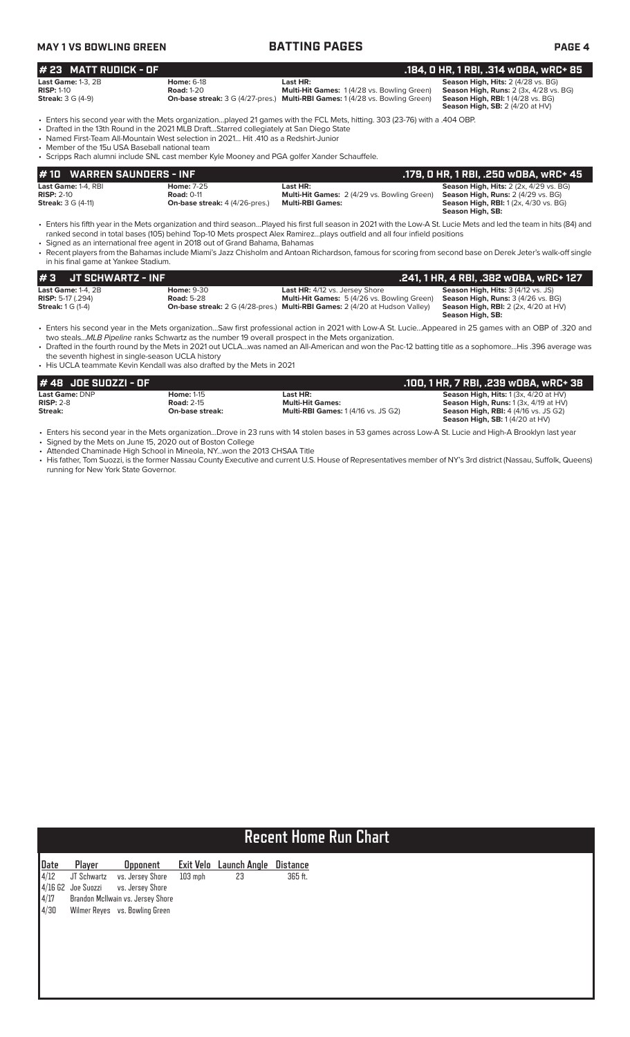| MAY 1 VS BOWLING GREEN |
|------------------------|
|------------------------|

### **MAY 1 8 BATTING PAGES PAGE 4**

| # 23 MATT RUDICK - OF                                                 |                                                                                                                                                                                                                                                                                                                                                                                                                                                                 |                                                                                                                                               | .184, 0 HR, 1 RBI, .314 wOBA, wRC+ 85                                                                                                                                    |  |  |  |  |  |
|-----------------------------------------------------------------------|-----------------------------------------------------------------------------------------------------------------------------------------------------------------------------------------------------------------------------------------------------------------------------------------------------------------------------------------------------------------------------------------------------------------------------------------------------------------|-----------------------------------------------------------------------------------------------------------------------------------------------|--------------------------------------------------------------------------------------------------------------------------------------------------------------------------|--|--|--|--|--|
| <b>Last Game: 1-3, 2B</b><br>$RISP: 1-10$<br><b>Streak:</b> 3 G (4-9) | <b>Home: 6-18</b><br><b>Road: 1-20</b>                                                                                                                                                                                                                                                                                                                                                                                                                          | Last HR:<br>Multi-Hit Games: 1(4/28 vs. Bowling Green)<br><b>On-base streak:</b> 3 G (4/27-pres.) Multi-RBI Games: 1 (4/28 vs. Bowling Green) | Season High, Hits: 2 (4/28 vs. BG)<br><b>Season High, Runs: 2 (3x, 4/28 vs. BG)</b><br><b>Season High, RBI:</b> 1(4/28 vs. BG)<br><b>Season High, SB: 2 (4/20 at HV)</b> |  |  |  |  |  |
|                                                                       | . Enters his second year with the Mets organizationplayed 21 games with the FCL Mets, hitting. 303 (23-76) with a .404 OBP.<br>• Drafted in the 13th Round in the 2021 MLB DraftStarred collegiately at San Diego State<br>• Named First-Team All-Mountain West selection in 2021 Hit 410 as a Redshirt-Junior<br>• Member of the 15u USA Baseball national team<br>• Scripps Rach alumni include SNL cast member Kyle Mooney and PGA golfer Xander Schauffele. |                                                                                                                                               |                                                                                                                                                                          |  |  |  |  |  |
| #10 WARREN SAUNDERS - INF                                             |                                                                                                                                                                                                                                                                                                                                                                                                                                                                 |                                                                                                                                               | .179, 0 HR, 1 RBI, .250 w0BA, wRC+ 45                                                                                                                                    |  |  |  |  |  |
| Last Game: 1-4, RBI<br>$RISP: 2-10$<br><b>Streak:</b> 3 G (4-11)      | <b>Home: 7-25</b><br><b>Road: 0-11</b><br><b>On-base streak:</b> 4 (4/26-pres.)                                                                                                                                                                                                                                                                                                                                                                                 | Last HR:<br>Multi-Hit Games: 2 (4/29 vs. Bowling Green)<br><b>Multi-RBI Games:</b>                                                            | <b>Season High, Hits: 2 (2x, 4/29 vs. BG)</b><br>Season High, Runs: 2 (4/29 vs. BG)<br><b>Season High, RBI:</b> 1 (2x, 4/30 vs. BG)<br>Season High, SB:                  |  |  |  |  |  |

• Enters his fifth year in the Mets organization and third season…Played his first full season in 2021 with the Low-A St. Lucie Mets and led the team in hits (84) and ranked second in total bases (105) behind Top-10 Mets prospect Alex Ramirez…plays outfield and all four infield positions

• Signed as an international free agent in 2018 out of Grand Bahama, Bahamas

• Recent players from the Bahamas include Miami's Jazz Chisholm and Antoan Richardson, famous for scoring from second base on Derek Jeter's walk-off single in his final game at Yankee Stadium.

| l#3<br>JT SCHWARTZ - INF |                                        |                                                                                    | .241, 1 HR, 4 RBI, .382 wOBA, wRC+ 127                 |
|--------------------------|----------------------------------------|------------------------------------------------------------------------------------|--------------------------------------------------------|
| Last Game: $1-4$ . $2B$  | <b>Home: 9-30</b><br><b>Road: 5-28</b> | <b>Last HR:</b> 4/12 vs. Jersey Shore                                              | <b>Season High, Hits: 3 (4/12 vs. JS)</b>              |
| <b>RISP:</b> 5-17 (.294) |                                        | <b>Multi-Hit Games:</b> 5 (4/26 vs. Bowling Green)                                 | <b>Season High, Runs: 3 (4/26 vs. BG)</b>              |
| <b>Streak:</b> 1 G (1-4) |                                        | <b>On-base streak:</b> 2 G (4/28-pres.) Multi-RBI Games: 2 (4/20 at Hudson Valley) | <b>Season High, RBI:</b> $2$ ( $2x$ , $4/20$ at $HV$ ) |
|                          |                                        |                                                                                    | Season High, SB:                                       |

• Enters his second year in the Mets organization…Saw first professional action in 2021 with Low-A St. Lucie…Appeared in 25 games with an OBP of .320 and two steals...*MLB Pipeline* ranks Schwartz as the number 19 overall prospect in the Mets organization.

• Drafted in the fourth round by the Mets in 2021 out UCLA…was named an All-American and won the Pac-12 batting title as a sophomore…His .396 average was the seventh highest in single-season UCLA history

• His UCLA teammate Kevin Kendall was also drafted by the Mets in 2021

| # 48 JOE SUOZZI - OF  |                   |                                            | .100, 1 HR, 7 RBI, .239 w0BA, wRC+ 38            |
|-----------------------|-------------------|--------------------------------------------|--------------------------------------------------|
| <b>Last Game: DNP</b> | <b>Home: 1-15</b> | Last HR:                                   | <b>Season High, Hits:</b> $1(3x, 4/20$ at $HV$ ) |
| $RISP: 2-8$           | <b>Road: 2-15</b> | <b>Multi-Hit Games:</b>                    | <b>Season High, Runs:</b> $1(3x, 4/19$ at $HV$ ) |
| Streak:               | On-base streak:   | <b>Multi-RBI Games: 1 (4/16 vs. JS G2)</b> | <b>Season High, RBI: 4 (4/16 vs. JS G2)</b>      |
|                       |                   |                                            | <b>Season High, SB:</b> $1(4/20$ at HV)          |

• Enters his second year in the Mets organization...Drove in 23 runs with 14 stolen bases in 53 games across Low-A St. Lucie and High-A Brooklyn last year

• Signed by the Mets on June 15, 2020 out of Boston College • Attended Chaminade High School in Mineola, NY...won the 2013 CHSAA Title

• His father, Tom Suozzi, is the former Nassau County Executive and current U.S. House of Representatives member of NY's 3rd district (Nassau, Suffolk, Queens) running for New York State Governor.

# **Recent Home Run Chart**

| Date | Player | Opponent                            |           | Exit Velo Launch Angle | Distance |
|------|--------|-------------------------------------|-----------|------------------------|----------|
|      |        | 4/12 JT Schwartz vs. Jersey Shore   | $103$ mph | 23                     | 365 ft.  |
|      |        | 4/16 G2 Joe Suozzi vs. Jersey Shore |           |                        |          |
| 4/17 |        | Brandon McIlwain vs. Jersey Shore   |           |                        |          |
| 4/30 |        | Wilmer Reyes vs. Bowling Green      |           |                        |          |
|      |        |                                     |           |                        |          |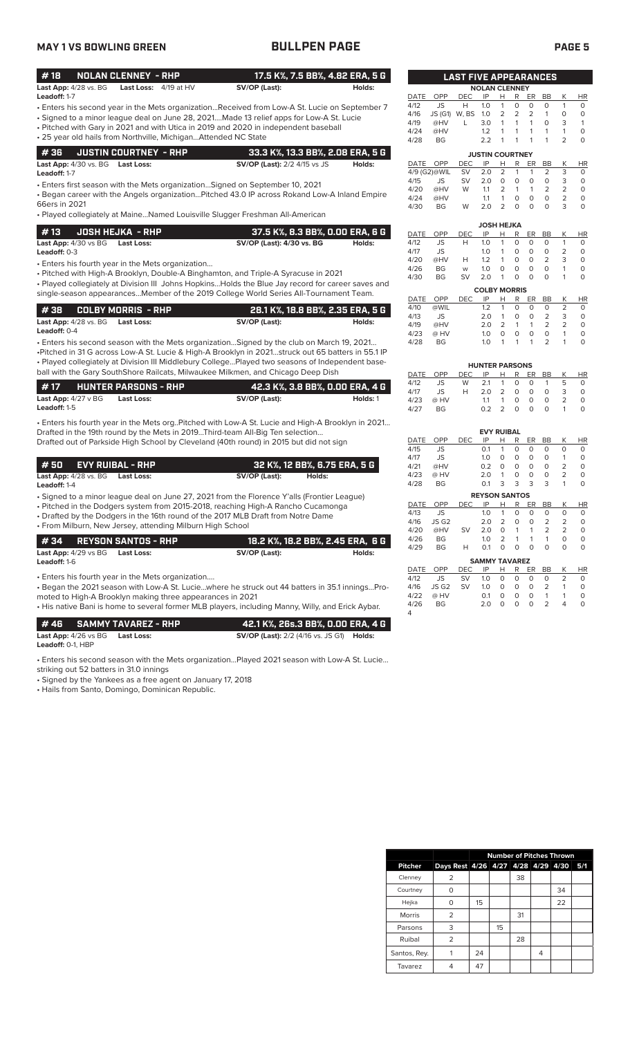# **MAY 1 VS BOWLING GREEN BULLPEN PAGE PAGE 5**

| #18<br><b>NOLAN CLENNEY - RHP</b>                                                                 | 17.5 K%, 7.5 BB%, 4.82 ERA, 5 G                         |          |              |                         |                              |                        |                    |                   |                             |                     |                           |                    |
|---------------------------------------------------------------------------------------------------|---------------------------------------------------------|----------|--------------|-------------------------|------------------------------|------------------------|--------------------|-------------------|-----------------------------|---------------------|---------------------------|--------------------|
|                                                                                                   |                                                         |          |              |                         | <b>LAST FIVE APPEARANCES</b> |                        |                    |                   |                             |                     |                           |                    |
| <b>Last App:</b> 4/28 vs. BG<br>Last Loss: 4/19 at HV<br>Leadoff: 1-7                             | SV/OP (Last):                                           | Holds:   |              |                         |                              | <b>NOLAN CLENNEY</b>   |                    |                   |                             |                     |                           |                    |
| Enters his second year in the Mets organizationReceived from Low-A St. Lucie on September 7       |                                                         |          | DATE<br>4/12 | <b>OPP</b><br>JS        | DEC<br>Н                     | IP<br>1.0              | Н<br>$\mathbf{1}$  | R<br>0            | ER<br>$\mathbf 0$           | BB<br>$\circ$       | Κ<br>$\mathbf{1}$         | <b>HR</b><br>0     |
|                                                                                                   |                                                         |          | 4/16         | JS (G1) W, BS           |                              | 1.0                    | 2                  | 2                 | $\overline{2}$              | $\mathbf{1}$        | 0                         | 0                  |
| • Signed to a minor league deal on June 28, 2021Made 13 relief apps for Low-A St. Lucie           |                                                         |          | 4/19         | @HV                     | L                            | 3.0                    | $\mathbf{1}$       | 1                 | 1                           | $\circ$             | 3                         | $\mathbf{1}$       |
| • Pitched with Gary in 2021 and with Utica in 2019 and 2020 in independent baseball               |                                                         |          | 4/24         | @HV                     |                              | 1.2                    | 1                  | 1                 | 1                           | $\mathbf{1}$        | 1                         | $\mathbf 0$        |
| • 25 year old hails from Northville, MichiganAttended NC State                                    |                                                         |          | 4/28         | BG                      |                              | 2.2                    | $\mathbf{1}$       | 1                 | 1                           | $\mathbf{1}$        | $\overline{2}$            | $\circ$            |
| #36<br><b>JUSTIN COURTNEY - RHP</b>                                                               | 33.3 K%, 13.3 BB%, 2.08 ERA, 5 G                        |          |              |                         |                              | <b>JUSTIN COURTNEY</b> |                    |                   |                             |                     |                           |                    |
| Last App: 4/30 vs. BG Last Loss:                                                                  | <b>SV/OP (Last):</b> 2/2 4/15 vs JS                     | Holds:   | DATE         | OPP                     | DEC                          | IP                     | н                  | R                 | ER                          | <b>BB</b>           | Κ                         | <b>HR</b>          |
| Leadoff: 1-7                                                                                      |                                                         |          |              | 4/9 (G2)@WIL            | <b>SV</b>                    | 2.0                    | $\overline{2}$     | $\mathbf{1}$      | 1                           | $\overline{2}$      | 3                         | 0                  |
| • Enters first season with the Mets organization Signed on September 10, 2021                     |                                                         |          | 4/15         | JS                      | SV                           | 2.0                    | $\circ$            | 0                 | $\mathbf 0$                 | $\circ$             | 3                         | 0                  |
| . Began career with the Angels organizationPitched 43.0 IP across Rokand Low-A Inland Empire      |                                                         |          | 4/20         | @HV                     | W                            | 1.1                    | 2                  | $\mathbf{1}$      | $\mathbf{1}$                | $\overline{2}$      | $\overline{2}$            | 0                  |
| 66ers in 2021                                                                                     |                                                         |          | 4/24         | @HV                     |                              | 1.1                    | $\mathbf{1}$<br>2  | 0<br>$\circ$      | $\mathbf 0$<br>$\circ$      | $\circ$<br>$\Omega$ | $\overline{2}$<br>3       | $\circ$<br>$\circ$ |
| · Played collegiately at MaineNamed Louisville Slugger Freshman All-American                      |                                                         |          | 4/30         | BG                      | W                            | 2.0                    |                    |                   |                             |                     |                           |                    |
|                                                                                                   |                                                         |          |              |                         |                              | <b>JOSH HEJKA</b>      |                    |                   |                             |                     |                           |                    |
| #13<br><b>JOSH HEJKA - RHP</b>                                                                    | 37.5 K%, 8.3 BB%, 0.00 ERA, 6 G                         |          | DATE         | OPP                     | <b>DEC</b>                   | IP                     | н                  | R                 | ER                          | BB                  | Κ                         | <b>HR</b>          |
| Last App: 4/30 vs BG<br><b>Last Loss:</b>                                                         | SV/OP (Last): 4/30 vs. BG                               | Holds:   | 4/12         | JS                      | H                            | 1.0                    | 1                  | 0                 | $\mathbf 0$                 | 0                   | 1                         | 0                  |
| <b>Leadoff: 0-3</b>                                                                               |                                                         |          | 4/17         | JS                      |                              | 1.0                    | $\mathbf{1}$       | 0                 | $\mathbf 0$                 | 0                   | $\overline{2}$            | $\circ$            |
| • Enters his fourth year in the Mets organization                                                 |                                                         |          | 4/20         | @HV                     | Н                            | 1.2                    | 1                  | 0                 | 0                           | 2                   | 3                         | $\circ$            |
| • Pitched with High-A Brooklyn, Double-A Binghamton, and Triple-A Syracuse in 2021                |                                                         |          | 4/26         | BG                      | W                            | 1.0                    | 0                  | $\mathbf 0$       | 0                           | 0                   | 1                         | $\mathbf 0$        |
| . Played collegiately at Division III Johns HopkinsHolds the Blue Jay record for career saves and |                                                         |          | 4/30         | BG                      | <b>SV</b>                    | 2.0                    | $\mathbf{1}$       | $\mathbf 0$       | $\mathbf 0$                 | $\mathbf 0$         | 1                         | $\circ$            |
| single-season appearancesMember of the 2019 College World Series All-Tournament Team.             |                                                         |          |              |                         |                              | <b>COLBY MORRIS</b>    |                    |                   |                             |                     |                           |                    |
|                                                                                                   |                                                         |          | DATE         | OPP                     | <b>DEC</b>                   | IP                     | Н                  | R                 | ER                          | BB                  | Κ                         | <b>HR</b>          |
| #38<br><b>COLBY MORRIS - RHP</b>                                                                  | 28.1 K%, 18.8 BB%, 2.35 ERA, 5 G                        |          | 4/10         | @WIL                    |                              | 1.2                    | $\mathbf{1}$       | 0                 | $\mathbf 0$                 | $\circ$             | 2                         | 0                  |
| <b>Last App:</b> 4/28 vs. BG<br><b>Last Loss:</b>                                                 | SV/OP (Last):                                           | Holds:   | 4/13<br>4/19 | JS<br>@HV               |                              | 2.0<br>2.0             | $\mathbf{1}$<br>2  | 0<br>$\mathbf{1}$ | $\mathbf 0$<br>$\mathbf{1}$ | 2<br>2              | 3<br>2                    | 0<br>0             |
| Leadoff: 0-4                                                                                      |                                                         |          | 4/23         | @ HV                    |                              | 1.0                    | $\circ$            | 0                 | $\mathbf 0$                 | $\circ$             | $\mathbf{1}$              | $\circ$            |
| • Enters his second season with the Mets organizationSigned by the club on March 19, 2021         |                                                         |          | 4/28         | BG                      |                              | 1.0                    | $\mathbf{1}$       | 1                 | 1                           | $\overline{2}$      | 1                         | $\circ$            |
| Pitched in 31 G across Low-A St. Lucie & High-A Brooklyn in 2021struck out 65 batters in 55.1 IP  |                                                         |          |              |                         |                              |                        |                    |                   |                             |                     |                           |                    |
| . Played collegiately at Division III Middlebury CollegePlayed two seasons of Independent base-   |                                                         |          |              |                         |                              | <b>HUNTER PARSONS</b>  |                    |                   |                             |                     |                           |                    |
| ball with the Gary SouthShore Railcats, Milwaukee Milkmen, and Chicago Deep Dish                  |                                                         |          | DATE         | OPP                     | <b>DEC</b>                   | IP                     | Н                  | R                 | ER                          | <b>BB</b>           | К                         | <b>HR</b>          |
|                                                                                                   |                                                         |          | 4/12         | JS                      | W                            | 2.1                    | 1                  | 0                 | 0                           | $\mathbf{1}$        | 5                         | 0                  |
| #17<br><b>HUNTER PARSONS - RHP</b>                                                                | 42.3 K%, 3.8 BB%, 0.00 ERA, 4 G                         |          | 4/17         | JS                      | Н                            | 2.0                    | $\overline{2}$     | 0                 | 0                           | $\circ$             | 3                         | $\circ$            |
| Last App: $4/27 \vee BG$<br><b>Last Loss:</b>                                                     | SV/OP (Last):                                           | Holds: 1 | 4/23         | @ HV                    |                              | 1.1                    | $\mathbf{1}$       | $\mathbf 0$       | 0                           | 0                   | 2                         | 0                  |
| Leadoff: 1-5                                                                                      |                                                         |          | 4/27         | <b>BG</b>               |                              | 0.2                    | $\overline{2}$     | $\circ$           | $\mathbf 0$                 | $\circ$             | 1                         | $\mathbf 0$        |
| Enters his fourth year in the Mets orgPitched with Low-A St. Lucie and High-A Brooklyn in 2021    |                                                         |          |              |                         |                              |                        |                    |                   |                             |                     |                           |                    |
| Drafted in the 19th round by the Mets in 2019Third-team All-Big Ten selection                     |                                                         |          |              |                         |                              | <b>EVY RUIBAL</b>      |                    |                   |                             |                     |                           |                    |
| Drafted out of Parkside High School by Cleveland (40th round) in 2015 but did not sign            |                                                         |          | DATE         | OPP                     | DEC                          | IP                     | н                  | R                 | ER                          | BB                  | Κ                         | <b>HR</b>          |
|                                                                                                   |                                                         |          | 4/15         | JS                      |                              | 0.1                    | $\mathbf{1}$       | 0                 | 0                           | 0                   | $\circ$                   | 0                  |
|                                                                                                   |                                                         |          | 4/17         | JS                      |                              | 1.0                    | $\circ$            | $\circ$           | $\circ$                     | $\circ$             | 1                         | $\circ$            |
| <b>EVY RUIBAL - RHP</b><br># 50                                                                   | 32 K%, 12 BB%, 6.75 ERA, 5 G                            |          | 4/21         | @HV                     |                              | 0.2                    | $\circ$            | $\mathbf 0$       | 0                           | 0                   | 2                         | $\circ$            |
| Last App: 4/28 vs. BG<br><b>Last Loss:</b>                                                        | SV/OP (Last):<br>Holds:                                 |          | 4/23<br>4/28 | @ HV<br>BG              |                              | 2.0<br>0.1             | 1<br>3             | $\mathbf 0$<br>3  | 0<br>3                      | 0<br>3              | $\overline{2}$<br>1       | 0<br>0             |
| Leadoff: 1-4                                                                                      |                                                         |          |              |                         |                              |                        |                    |                   |                             |                     |                           |                    |
| • Signed to a minor league deal on June 27, 2021 from the Florence Y'alls (Frontier League)       |                                                         |          |              |                         |                              | <b>REYSON SANTOS</b>   |                    |                   |                             |                     |                           |                    |
| • Pitched in the Dodgers system from 2015-2018, reaching High-A Rancho Cucamonga                  |                                                         |          | DATE OPP     |                         | <b>DEC</b>                   |                        |                    | IP H R ER BB      |                             | 0                   | K                         | HR                 |
| • Drafted by the Dodgers in the 16th round of the 2017 MLB Draft from Notre Dame                  |                                                         |          | 4/13<br>4/16 | JS<br>JS G <sub>2</sub> |                              | 2.0                    | $1.0 \t1 \t0$<br>2 | 0                 | $\overline{0}$<br>0         | $\overline{2}$      | $\circ$<br>$\overline{2}$ | 0                  |
| • From Milburn, New Jersey, attending Milburn High School                                         |                                                         |          | 4/20         | @HV                     | SV                           | 2.0                    | 0                  | $\mathbf{1}$      | 1                           | 2                   | 2                         | 0                  |
| #34<br><b>REYSON SANTOS - RHP</b>                                                                 | 18.2 K%, 18.2 BB%, 2.45 ERA, 6 G                        |          | 4/26         | BG                      |                              | 1.0                    | 2                  | 1                 | 1                           | 1                   | 0                         | 0                  |
|                                                                                                   |                                                         |          | 4/29         | BG                      | н                            | 0.1                    | 0                  | $\circ$           | $\circ$                     | $\circ$             | 0                         | 0                  |
| <b>Last App:</b> 4/29 vs BG<br><b>Last Loss:</b>                                                  | SV/OP (Last):                                           | Holds:   |              |                         |                              | <b>SAMMY TAVAREZ</b>   |                    |                   |                             |                     |                           |                    |
| <b>Leadoff:</b> 1-6                                                                               |                                                         |          | DATE         | OPP                     | DEC                          | IP                     | Н                  | R                 | <u>ER</u>                   | <b>BB</b>           | Κ                         | <b>HR</b>          |
| • Enters his fourth year in the Mets organization                                                 |                                                         |          | 4/12         | JS                      | SV                           | 1.0                    | 0                  | 0                 | 0                           | 0                   | 2                         | 0                  |
| Began the 2021 season with Low-A St. Luciewhere he struck out 44 batters in 35.1 inningsPro-      |                                                         |          | 4/16         | JS G <sub>2</sub>       | SV                           | 1.0                    | 0                  | 0                 | 0                           | 2                   | 1                         | 0                  |
| moted to High-A Brooklyn making three appearances in 2021                                         |                                                         |          | 4/22         | @ HV                    |                              | 0.1                    | 0                  | 0                 | 0                           | 1                   | 1                         | 0                  |
| His native Bani is home to several former MLB players, including Manny, Willy, and Erick Aybar.   |                                                         |          | 4/26         | BG                      |                              | 2.0                    | $\circ$            | $\circ$           | $\circ$                     | 2                   | 4                         | $\mathsf O$        |
|                                                                                                   |                                                         |          | 4            |                         |                              |                        |                    |                   |                             |                     |                           |                    |
| #46<br><b>SAMMY TAVAREZ - RHP</b>                                                                 | 42.1 K%, 26s.3 BB%, 0.00 ERA, 4 G                       |          |              |                         |                              |                        |                    |                   |                             |                     |                           |                    |
| <b>Last Loss:</b><br>Last App: 4/26 vs BG                                                         | <b>SV/OP (Last):</b> 2/2 (4/16 vs. JS G1) <b>Holds:</b> |          |              |                         |                              |                        |                    |                   |                             |                     |                           |                    |

**Leadoff:** 0-1, HBP

• Enters his second season with the Mets organization…Played 2021 season with Low-A St. Lucie…

striking out 52 batters in 31.0 innings

• Signed by the Yankees as a free agent on January 17, 2018

• Hails from Santo, Domingo, Dominican Republic.

| 4/17 | JS   |            | 1.0                 | 1              | 0        | 0        | 0         | $\overline{2}$ | 0  |  |
|------|------|------------|---------------------|----------------|----------|----------|-----------|----------------|----|--|
| 4/20 | @HV  | Н          | 1.2                 | 1              | 0        | 0        | 2         | 3              | 0  |  |
| 4/26 | BG   | W          | 1.0                 | O              | $\Omega$ | 0        | 0         | 1              | O  |  |
| 4/30 | BG   | <b>SV</b>  | 2.0                 | 1              | 0        | 0        | 0         | 1              | O  |  |
|      |      |            | <b>COLBY MORRIS</b> |                |          |          |           |                |    |  |
| DATE | OPP  | <b>DEC</b> | IP                  | н              | R        | ER       | <b>BB</b> | Κ              | ΗR |  |
| 4/10 | @WIL |            | 1.2                 | 1              | O        | $\Omega$ | $\Omega$  | $\overline{2}$ | 0  |  |
| 4/13 | JS   |            | 2.0                 | 1              | O        | $\Omega$ | 2         | 3              | 0  |  |
| 4/19 | @HV  |            | 2.0                 | $\overline{2}$ | 1        | 1        | 2         | $\overline{2}$ | 0  |  |
| 4/23 | @ HV |            | 1.0                 | 0              | O        | $\Omega$ | $\Omega$  | 1              | 0  |  |
| 4/28 | BG   |            | 1.0                 | 1              | 1        | 1        | 2         |                | 0  |  |
|      |      |            |                     |                |          |          |           |                |    |  |
|      |      |            |                     |                |          |          |           |                |    |  |

| <b>HR</b> |
|-----------|
|           |
| O         |
|           |
|           |
|           |

|                |                   |            | <b>EVY RUIBAL</b>    |   |          |          |                |                |    |
|----------------|-------------------|------------|----------------------|---|----------|----------|----------------|----------------|----|
| DATE           | OPP               | <b>DEC</b> | IP                   | н | R        | ER       | BB             | Κ              | ΗR |
| 4/15           | <b>JS</b>         |            | 0.1                  | 1 | $\Omega$ | 0        | $\circ$        | O              | 0  |
| 4/17           | JS                |            | 1.0                  | O | 0        | 0        | $\Omega$       | 1              | 0  |
| 4/21           | @HV               |            | 0.2                  | O | $\Omega$ | 0        | $\Omega$       | 2              | 0  |
| 4/23           | @ HV              |            | 2.0                  | 1 | $\Omega$ | 0        | $\circ$        | $\overline{2}$ | 0  |
| 4/28           | <b>BG</b>         |            | 0.1                  | 3 | 3        | 3        | 3              | 1              | 0  |
|                |                   |            | <b>REYSON SANTOS</b> |   |          |          |                |                |    |
| <b>DATE</b>    | OPP               | <b>DEC</b> | IP                   | Н | R        | ER       | BB             | Κ              | ΗR |
| 4/13           | <b>JS</b>         |            | 1.0                  | 1 | O        | $\Omega$ | 0              | 0              | 0  |
| 4/16           | JS G <sub>2</sub> |            | 2.0                  | 2 | 0        | 0        | 2              | 2              | 0  |
| 4/20           | @HV               | SV         | 2.0                  | 0 | 1        | 1        | $\overline{2}$ | 2              | 0  |
| 4/26           | <b>BG</b>         |            | 1.0                  | 2 | 1        | 1        | 1              | 0              | 0  |
| 4/29           | BG                | н          | 0.1                  | 0 | O        | O        | 0              | 0              | 0  |
|                |                   |            | <b>SAMMY TAVAREZ</b> |   |          |          |                |                |    |
| DATE           | OPP               | DEC        | IP                   | н | R        | ER       | BB             | Κ              | ΗR |
| 4/12           | <b>JS</b>         | SV         | 1.0                  | O | $\Omega$ | O        | $\circ$        | $\overline{2}$ | 0  |
| 4/16           | JS G2             | SV         | 1.0                  | O | $\Omega$ | O        | $\overline{2}$ | 1              | 0  |
| 4/22           | @ HV              |            | 0.1                  | 0 | 0        | 0        | 1              | 1              | 0  |
| 4/26           | <b>BG</b>         |            | 2.0                  | O | 0        | 0        | $\overline{2}$ | 4              | 0  |
| $\overline{a}$ |                   |            |                      |   |          |          |                |                |    |

|                |                                    |    |    |    |   | <b>Number of Pitches Thrown</b> |     |
|----------------|------------------------------------|----|----|----|---|---------------------------------|-----|
| <b>Pitcher</b> | Days Rest 4/26 4/27 4/28 4/29 4/30 |    |    |    |   |                                 | 5/1 |
| Clenney        | 2                                  |    |    | 38 |   |                                 |     |
| Courtney       | O                                  |    |    |    |   | 34                              |     |
| Hejka          | O                                  | 15 |    |    |   | 22                              |     |
| <b>Morris</b>  | 2                                  |    |    | 31 |   |                                 |     |
| Parsons        | 3                                  |    | 15 |    |   |                                 |     |
| Ruibal         | 2                                  |    |    | 28 |   |                                 |     |
| Santos, Rey.   |                                    | 24 |    |    | 4 |                                 |     |
| Tavarez        |                                    | 47 |    |    |   |                                 |     |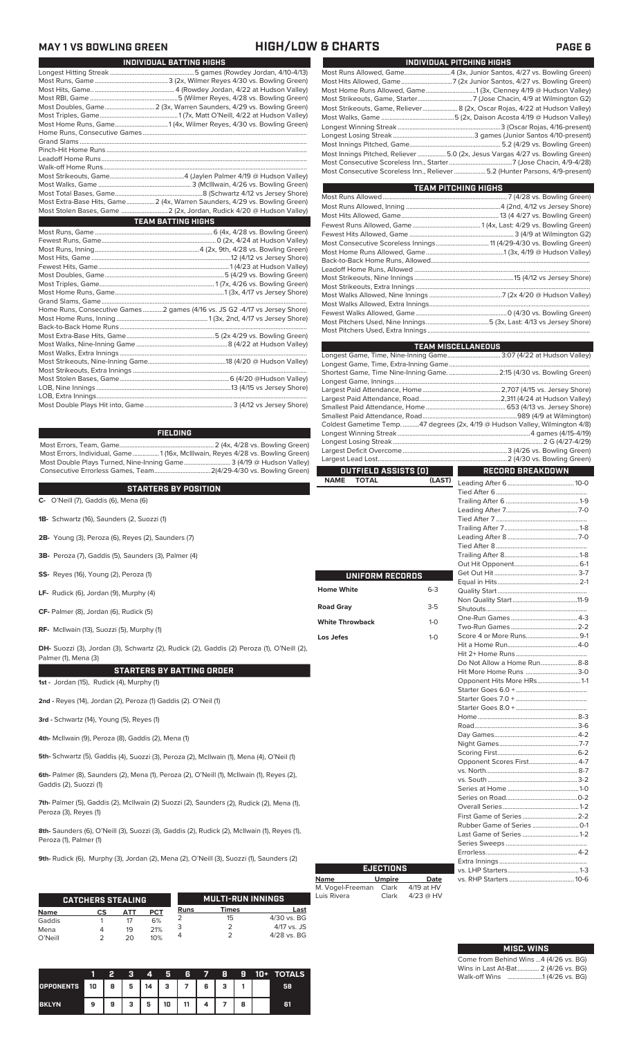# **MAY 1 VS BOWLING GREEN HIGH/LOW & CHARTS PAGE 6**

| INDIVIDUAL BATTING HIGHS                                                   |
|----------------------------------------------------------------------------|
|                                                                            |
|                                                                            |
|                                                                            |
|                                                                            |
| Most Doubles, Game 2 (3x, Warren Saunders, 4/29 vs. Bowling Green)         |
|                                                                            |
|                                                                            |
|                                                                            |
|                                                                            |
|                                                                            |
|                                                                            |
|                                                                            |
|                                                                            |
|                                                                            |
|                                                                            |
| Most Extra-Base Hits, Game 2 (4x, Warren Saunders, 4/29 vs. Bowling Green) |
|                                                                            |
| <b>TEAM BATTING HIGHS</b>                                                  |
|                                                                            |
|                                                                            |
|                                                                            |
|                                                                            |
|                                                                            |
|                                                                            |
|                                                                            |
|                                                                            |
|                                                                            |
| Home Runs, Consecutive Games2 games (4/16 vs. JS G2 -4/17 vs Jersey Shore) |
|                                                                            |
|                                                                            |
|                                                                            |
|                                                                            |
|                                                                            |
|                                                                            |
|                                                                            |
|                                                                            |
|                                                                            |
|                                                                            |
|                                                                            |

### **FIELDING**

Most Errors, Team, Game......................................................... 2 (4x, 4/28 vs. Bowling Green) Most Errors, Individual, Game................1 (16x, McIllwain, Reyes 4/28 vs. Bowling Green) Most Double Plays Turned, Nine-Inning Game............................ 3 (4/19 @ Hudson Valley) Consecutive Errorless Games, Team..................................2(4/29-4/30 vs. Bowling Green)

| <b>STARTERS BY POSITION</b>                                                                                       |
|-------------------------------------------------------------------------------------------------------------------|
| C- O'Neill (7), Gaddis (6), Mena (6)                                                                              |
| <b>1B-</b> Schwartz (16), Saunders (2, Suozzi (1)                                                                 |
| <b>2B-</b> Young (3), Peroza (6), Reyes (2), Saunders (7)                                                         |
| <b>3B-</b> Peroza (7), Gaddis (5), Saunders (3), Palmer (4)                                                       |
| <b>SS-</b> Reyes (16), Young (2), Peroza (1)                                                                      |
| LF- Rudick $(6)$ , Jordan $(9)$ , Murphy $(4)$                                                                    |
| CF- Palmer (8), Jordan (6), Rudick (5)                                                                            |
| RF- McIlwain (13), Suozzi (5), Murphy (1)                                                                         |
| DH- Suozzi (3), Jordan (3), Schwartz (2), Rudick (2), Gaddis (2) Peroza (1), O'Neill (2),<br>Palmer (1), Mena (3) |
| <b>STARTERS BY BATTING ORDER</b>                                                                                  |
| 1st - Jordan (15), Rudick (4), Murphy (1)                                                                         |
| 2nd - Reyes (14), Jordan (2), Peroza (1) Gaddis (2). O'Neil (1)                                                   |
| 3rd - Schwartz (14), Young (5), Reyes (1)                                                                         |
| 4th- McIlwain (9), Peroza (8), Gaddis (2), Mena (1)                                                               |
| 5th- Schwartz (5), Gaddis (4), Suozzi (3), Peroza (2), McIlwain (1), Mena (4), O'Neil (1)                         |

**6th-** Palmer (8), Saunders (2), Mena (1), Peroza (2), O'Neill (1), McIlwain (1), Reyes (2), Gaddis (2), Suozzi (1)

**7th-** Palmer (5), Gaddis (2), McIlwain (2) Suozzi (2), Saunders (2), Rudick (2), Mena (1), Peroza (3), Reyes (1)

**8th-** Saunders (6), O'Neill (3), Suozzi (3), Gaddis (2), Rudick (2), McIlwain (1), Reyes (1), Peroza (1), Palmer (1)

**9th-** Rudick (6), Murphy (3), Jordan (2), Mena (2), O'Neill (3), Suozzi (1), Saunders (2)

|             | <b>CATCHERS STEALING</b> |     |            |             | <b>MULTI-RUN INNINGS</b> |               |
|-------------|--------------------------|-----|------------|-------------|--------------------------|---------------|
| <b>Name</b> | cs                       | АТТ | <b>PCT</b> | <b>Runs</b> | Times                    | Last          |
| Gaddis      |                          |     | 6%         |             | 15                       | $4/30$ vs. BG |
| Mena        |                          | 19  | 21%        |             |                          | $4/17$ vs. JS |
| O'Neill     |                          | つの  | 10%        |             |                          | 4/28 vs. BG   |

|                  |    | 2                 | a   | 4  | я               | B  | $\rightarrow$ | 8 | 9 | 10+ 1 | <b>TOTALS</b> |
|------------------|----|-------------------|-----|----|-----------------|----|---------------|---|---|-------|---------------|
| <b>OPPONENTS</b> | 10 | 8<br>$\mathbf{1}$ | 5 I | 14 | $3 \mid 7 \mid$ |    | 6             | 3 |   |       | 58            |
| <b>BKLYN</b>     | 9  | 9                 | з   | 5  | 10              | 11 |               |   | 8 |       | 61            |

| INDIVIDUAL PITCHING HIGHS                                                    |
|------------------------------------------------------------------------------|
|                                                                              |
|                                                                              |
|                                                                              |
|                                                                              |
| Most Strikeouts, Game, Reliever 8 (2x, Oscar Rojas, 4/22 at Hudson Valley)   |
|                                                                              |
|                                                                              |
|                                                                              |
|                                                                              |
| Most Innings Pitched, Reliever 5.0 (2x, Jesus Vargas 4/27 vs. Bowling Green) |
|                                                                              |
| Most Consecutive Scoreless Inn., Reliever  5.2 (Hunter Parsons, 4/9-present) |

| <b>TEAM PITCHING HIGHS</b>                                          |  |
|---------------------------------------------------------------------|--|
|                                                                     |  |
|                                                                     |  |
|                                                                     |  |
|                                                                     |  |
|                                                                     |  |
| Most Consecutive Scoreless Innings 11 (4/29-4/30 vs. Bowling Green) |  |
|                                                                     |  |
|                                                                     |  |
|                                                                     |  |
|                                                                     |  |
|                                                                     |  |
|                                                                     |  |
|                                                                     |  |
|                                                                     |  |
|                                                                     |  |
|                                                                     |  |
|                                                                     |  |

|                        |                      |         | <b>TEAM MISCELLANEOUS</b>                                                    |  |  |  |
|------------------------|----------------------|---------|------------------------------------------------------------------------------|--|--|--|
|                        |                      |         | Longest Game, Time, Nine-Inning Game 3:07 (4/22 at Hudson Valley)            |  |  |  |
|                        |                      |         |                                                                              |  |  |  |
|                        |                      |         | Shortest Game, Time Nine-Inning Game. 2:15 (4/30 vs. Bowling Green)          |  |  |  |
|                        |                      |         |                                                                              |  |  |  |
|                        |                      |         |                                                                              |  |  |  |
|                        |                      |         |                                                                              |  |  |  |
|                        |                      |         |                                                                              |  |  |  |
|                        |                      |         |                                                                              |  |  |  |
|                        |                      |         | Coldest Gametime Temp. 47 degrees (2x, 4/19 @ Hudson Valley, Wilmington 4/8) |  |  |  |
|                        |                      |         |                                                                              |  |  |  |
|                        |                      |         |                                                                              |  |  |  |
|                        |                      |         |                                                                              |  |  |  |
|                        |                      |         |                                                                              |  |  |  |
|                        | OUTFIELD ASSISTS (0) |         | <b>RECORD BREAKDOWN</b>                                                      |  |  |  |
| <b>NAME</b>            | <b>TOTAL</b>         | (LAST)  |                                                                              |  |  |  |
|                        |                      |         |                                                                              |  |  |  |
|                        |                      |         |                                                                              |  |  |  |
|                        |                      |         |                                                                              |  |  |  |
|                        |                      |         |                                                                              |  |  |  |
|                        |                      |         |                                                                              |  |  |  |
|                        |                      |         |                                                                              |  |  |  |
|                        |                      |         |                                                                              |  |  |  |
|                        |                      |         |                                                                              |  |  |  |
|                        |                      |         |                                                                              |  |  |  |
|                        | UNIFORM RECORDS      |         |                                                                              |  |  |  |
|                        |                      |         |                                                                              |  |  |  |
| <b>Home White</b>      |                      | $6 - 3$ |                                                                              |  |  |  |
|                        |                      | $3-5$   |                                                                              |  |  |  |
| <b>Road Gray</b>       |                      |         |                                                                              |  |  |  |
| <b>White Throwback</b> |                      | $1 - 0$ |                                                                              |  |  |  |
|                        |                      |         |                                                                              |  |  |  |
| Los Jefes              |                      | $1-0$   |                                                                              |  |  |  |
|                        |                      |         |                                                                              |  |  |  |
|                        |                      |         |                                                                              |  |  |  |
|                        |                      |         | Do Not Allow a Home Run 8-8                                                  |  |  |  |
|                        |                      |         | Hit More Home Runs 3-0                                                       |  |  |  |
|                        |                      |         | Opponent Hits More HRs1-1                                                    |  |  |  |
|                        |                      |         |                                                                              |  |  |  |
|                        |                      |         |                                                                              |  |  |  |
|                        |                      |         |                                                                              |  |  |  |
|                        |                      |         |                                                                              |  |  |  |
|                        |                      |         |                                                                              |  |  |  |
|                        |                      |         |                                                                              |  |  |  |
|                        |                      |         |                                                                              |  |  |  |
|                        |                      |         |                                                                              |  |  |  |
|                        |                      |         | Opponent Scores First 4-7                                                    |  |  |  |
|                        |                      |         |                                                                              |  |  |  |
|                        |                      |         |                                                                              |  |  |  |
|                        |                      |         |                                                                              |  |  |  |
|                        |                      |         |                                                                              |  |  |  |
|                        |                      |         |                                                                              |  |  |  |
|                        |                      |         |                                                                              |  |  |  |
|                        |                      |         |                                                                              |  |  |  |
|                        |                      |         |                                                                              |  |  |  |
|                        |                      |         |                                                                              |  |  |  |
|                        |                      |         |                                                                              |  |  |  |

**Name Umpire Date** M. Vogel-Freeman Clark 4/19 at HV Luis Rivera Clark 4/23 @ HV

**EJECTIONS**<br> **Umpire** Date<br>
man Clark 4/19 at HV<br>
Clark 4/23 @ HV

| <b>MISC. WINS</b> |                                        |  |  |  |  |  |  |  |
|-------------------|----------------------------------------|--|--|--|--|--|--|--|
|                   | Come from Behind Wins  4 (4/26 vs. BG) |  |  |  |  |  |  |  |
|                   | Wins in Last At-Bat 2 (4/26 vs. BG)    |  |  |  |  |  |  |  |
|                   | Walk-off Wins 1 (4/26 vs. BG)          |  |  |  |  |  |  |  |

Extra Innings .....................................................

vs. RHP Starters ....................................... 10-6

vs. LHP Starters.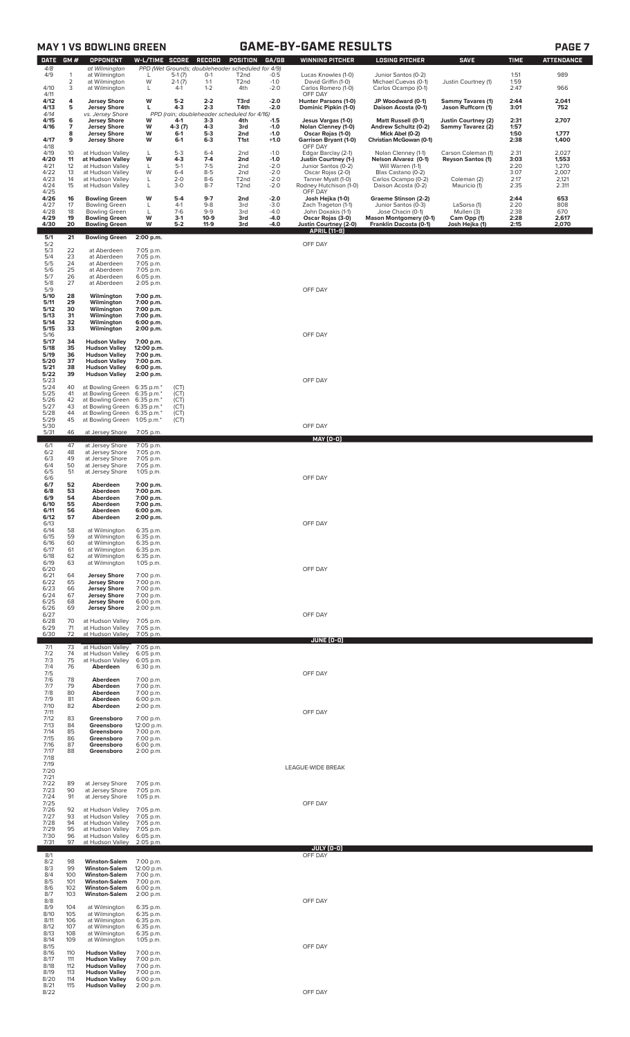# **GAME-BY-GAME RESULTS PAGE 7**

| <b>DATE</b>          | GM#               | <b>OPPONENT</b>                                                      | W-L/TIME SCORE                       |                             | RECORD                                 | POSITION                                                               | GA/GB                      | <b>WINNING PITCHER</b>                                            | <b>LOSING PITCHER</b>                                                     | <b>SAVE</b>                                    | <b>TIME</b>          | <b>ATTENDANCE</b>       |
|----------------------|-------------------|----------------------------------------------------------------------|--------------------------------------|-----------------------------|----------------------------------------|------------------------------------------------------------------------|----------------------------|-------------------------------------------------------------------|---------------------------------------------------------------------------|------------------------------------------------|----------------------|-------------------------|
| 4/8<br>4/9           | 1                 | at Wilmington<br>at Wilmington                                       | L                                    | $5-1(7)$                    | $O-1$                                  | PPD (Wet Grounds; doubleheader scheduled for 4/9)<br>T <sub>2</sub> nd | $-0.5$                     | Lucas Knowles (1-0)                                               | Junior Santos (0-2)                                                       |                                                | 1:51                 | 989                     |
| 4/10<br>4/11         | 2<br>3            | at Wilmington<br>at Wilmington                                       | W<br>L                               | $2-1(7)$<br>$4-1$           | $1 - 1$<br>$1 - 2$                     | T <sub>2</sub> nd<br>4th                                               | $-1.0$<br>$-2.0$           | David Griffin (1-0)<br>Carlos Romero (1-0)<br>OFF DAY             | Michael Cuevas (0-1)<br>Carlos Ocampo (0-1)                               | Justin Courtney (1)                            | 1:59<br>2:47         | 966                     |
| 4/12<br>4/13         | 4<br>5            | <b>Jersey Shore</b><br><b>Jersey Shore</b>                           | W<br>г                               | $5-2$<br>$4-3$              | $2 - 2$<br>$2 - 3$                     | T3rd<br>T4th                                                           | $-2.0$<br>$-2.0$           | Hunter Parsons (1-0)<br>Dominic Pipkin (1-0)                      | JP Woodward (0-1)<br>Daison Acosta (0-1)                                  | <b>Sammy Tavares (1)</b><br>Jason Ruffcorn (1) | 2:44<br>3:01         | 2,041<br>752            |
| 4/14<br>4/15         | 6                 | vs. Jersey Shore<br><b>Jersey Shore</b>                              | W                                    | 4-1                         | PPD (rain; doubleheader schei<br>$3-3$ | Juled for 4/16)<br>4th                                                 | $-1.5$                     | Jesus Vargas (1-0)                                                | <b>Matt Russell (0-1)</b>                                                 | <b>Justin Courtney (2)</b>                     | 2:31                 | 2,707                   |
| 4/16<br>4/17         | 7<br>8<br>9       | <b>Jersey Shore</b><br><b>Jersey Shore</b><br><b>Jersey Shore</b>    | W<br>W<br>W                          | 4-3 (7)<br>$6 - 1$<br>$6-1$ | $4 - 3$<br>$5-3$<br>$6 - 3$            | 3rd<br>2nd<br>T1st                                                     | $-1.0$<br>$-1.0$<br>$+1.0$ | Nolan Clenney (1-0)<br>Oscar Rojas (1-0)<br>Garrison Bryant (1-0) | Andrew Schultz (0-2)<br>Mick Abel (0-2)<br>Christian McGowan (0-1)        | Sammy Tavarez (2)                              | 1:57<br>1:50<br>2:38 | 1,777<br>1,400          |
| 4/18<br>4/19         | 10                | at Hudson Valley                                                     | L                                    | $5-3$                       | $6 - 4$                                | 2nd                                                                    | $-1.0$                     | OFF DAY<br>Edgar Barclay (2-1)                                    | Nolan Clenney (1-1)                                                       | Carson Coleman (1)                             | 2:31                 | 2,027                   |
| 4/20<br>4/21         | 11<br>12          | at Hudson Valley<br>at Hudson Valley                                 | W<br>L                               | $4 - 3$<br>$5-1$            | $7-4$<br>$7-5$                         | 2nd<br>2 <sub>nd</sub>                                                 | $-1.0$<br>$-2.0$           | Justin Courtney (1-)<br>Junior Santos (0-2)                       | Nelson Alvarez (0-1)<br>Will Warren (1-1)                                 | <b>Reyson Santos (1)</b>                       | 3:03<br>2:20         | 1,553<br>1,270          |
| 4/22<br>4/23<br>4/24 | 13<br>14<br>15    | at Hudson Valley<br>at Hudson Valley<br>at Hudson Valley             | W<br>L<br>L                          | $6 - 4$<br>$2 - 0$<br>$3-0$ | $8 - 5$<br>$8-6$<br>$8 - 7$            | 2nd<br>T <sub>2</sub> nd<br>T <sub>2</sub> nd                          | $-2.0$<br>$-2.0$<br>$-2.0$ | Oscar Rojas (2-0)<br>Tanner Myatt (1-0)<br>Rodney Hutchison (1-0) | Blas Castano (0-2)<br>Carlos Ocampo (0-2)<br>Daison Acosta (0-2)          | Coleman (2)<br>Mauricio (1)                    | 3:07<br>2:17<br>2:35 | 2,007<br>2,121<br>2.311 |
| 4/25<br>4/26         | 16                | <b>Bowling Green</b>                                                 | W                                    | $5 - 4$                     | $9 - 7$                                | 2nd                                                                    | -2.0                       | OFF DAY<br>Josh Hejka (1-0)                                       | Graeme Stinson (2-2)                                                      |                                                | 2:44                 | 653                     |
| 4/27<br>4/28<br>4/29 | 17<br>18<br>19    | <b>Bowling Green</b><br><b>Bowling Green</b><br><b>Bowling Green</b> | L<br>L<br>W                          | $4-1$<br>$7-6$<br>$3-1$     | $9 - 8$<br>$9 - 9$<br>$10-9$           | 3rd<br>3rd<br>3rd                                                      | $-3.0$<br>$-4.0$<br>$-4.0$ | Zach Trageton (1-1)<br>John Doxakis (1-1)<br>Oscar Rojas (3-0)    | Junior Santos (0-3)<br>Jose Chacin (0-1)<br><b>Mason Montgomery (0-1)</b> | LaSorsa (1)<br>Mullen (3)<br>Cam Opp (1)       | 2:20<br>2:38<br>2:28 | 808<br>670<br>2,617     |
| 4/30                 | 20                | <b>Bowling Green</b>                                                 | W                                    | $5-2$                       | $11-9$                                 | 3rd                                                                    | $-4.0$                     | Justin Courtney (2-0)<br><b>APRIL [11-9]</b>                      | Franklin Dacosta (0-1)                                                    | Josh Hejka (1)                                 | 2:15                 | 2,070                   |
| 5/1<br>5/2<br>5/3    | 21<br>22          | <b>Bowling Green</b><br>at Aberdeen                                  | 2:00 p.m.<br>7:05 p.m.               |                             |                                        |                                                                        |                            | OFF DAY                                                           |                                                                           |                                                |                      |                         |
| 5/4<br>5/5           | 23<br>24          | at Aberdeen<br>at Aberdeen                                           | 7:05 p.m.<br>7:05 p.m.               |                             |                                        |                                                                        |                            |                                                                   |                                                                           |                                                |                      |                         |
| 5/6<br>5/7<br>5/8    | 25<br>26<br>27    | at Aberdeen<br>at Aberdeen                                           | 7:05 p.m.<br>6:05 p.m.               |                             |                                        |                                                                        |                            |                                                                   |                                                                           |                                                |                      |                         |
| 5/9<br>5/10          | 28                | at Aberdeen<br>Wilmington                                            | 2:05 p.m.<br>7:00 p.m.               |                             |                                        |                                                                        |                            | OFF DAY                                                           |                                                                           |                                                |                      |                         |
| 5/11<br>5/12         | 29<br>30          | Wilmington<br>Wilmington                                             | 7:00 p.m.<br>7:00 p.m.               |                             |                                        |                                                                        |                            |                                                                   |                                                                           |                                                |                      |                         |
| 5/13<br>5/14<br>5/15 | 31<br>32<br>33    | Wilmington<br>Wilmington<br>Wilmington                               | 7:00 p.m.<br>6:00 p.m.<br>2:00 p.m.  |                             |                                        |                                                                        |                            |                                                                   |                                                                           |                                                |                      |                         |
| 5/16<br>5/17         | 34                | <b>Hudson Valley</b>                                                 | 7:00 p.m.                            |                             |                                        |                                                                        |                            | OFF DAY                                                           |                                                                           |                                                |                      |                         |
| 5/18<br>5/19<br>5/20 | 35<br>36<br>37    | <b>Hudson Valley</b><br><b>Hudson Valley</b><br><b>Hudson Valley</b> | 12:00 p.m.<br>7:00 p.m.<br>7:00 p.m. |                             |                                        |                                                                        |                            |                                                                   |                                                                           |                                                |                      |                         |
| 5/21<br>5/22         | 38<br>39          | <b>Hudson Valley</b><br><b>Hudson Valley</b>                         | 6:00 p.m.<br>2:00 p.m.               |                             |                                        |                                                                        |                            |                                                                   |                                                                           |                                                |                      |                         |
| 5/23<br>5/24<br>5/25 | 40<br>41          | at Bowling Green 6:35 p.m.*<br>at Bowling Green                      | 6:35 p.m.*                           | (CT)<br>(CT)                |                                        |                                                                        |                            | OFF DAY                                                           |                                                                           |                                                |                      |                         |
| 5/26<br>5/27         | 42<br>43          | at Bowling Green<br>at Bowling Green 6:35 p.m.*                      | 6:35 p.m.*                           | (CT)<br>(CT)                |                                        |                                                                        |                            |                                                                   |                                                                           |                                                |                      |                         |
| 5/28<br>5/29<br>5/30 | 44<br>45          | at Bowling Green 6:35 p.m.*<br>at Bowling Green 1:05 p.m.*           |                                      | (CT)<br>(CT)                |                                        |                                                                        |                            | OFF DAY                                                           |                                                                           |                                                |                      |                         |
| 5/31                 | 46                | at Jersey Shore                                                      | 7:05 p.m.                            |                             |                                        |                                                                        |                            | <b>MAY (0-0)</b>                                                  |                                                                           |                                                |                      |                         |
| 6/1<br>6/2<br>6/3    | 47<br>48<br>49    | at Jersey Shore<br>at Jersey Shore<br>at Jersey Shore                | 7:05 p.m.<br>7:05 p.m.               |                             |                                        |                                                                        |                            |                                                                   |                                                                           |                                                |                      |                         |
| 6/4<br>6/5           | 50<br>51          | at Jersey Shore<br>at Jersey Shore                                   | 7:05 p.m.<br>7:05 p.m.<br>1:05 p.m.  |                             |                                        |                                                                        |                            |                                                                   |                                                                           |                                                |                      |                         |
| 6/6<br>6/7           | 52                | Aberdeen                                                             | 7:00 p.m.                            |                             |                                        |                                                                        |                            | OFF DAY                                                           |                                                                           |                                                |                      |                         |
| 6/8<br>6/9<br>6/10   | 53<br>54<br>55    | Aberdeen<br>Aberdeen<br>Aberdeen                                     | 7:00 p.m.<br>7:00 p.m.<br>7:00 p.m.  |                             |                                        |                                                                        |                            |                                                                   |                                                                           |                                                |                      |                         |
| 6/11<br>6/12         | 56<br>57          | Aberdeen<br>Aberdeen                                                 | 6:00 p.m.<br>2:00 p.m.               |                             |                                        |                                                                        |                            |                                                                   |                                                                           |                                                |                      |                         |
| 6/13<br>6/14<br>6/15 | 58<br>59          | at Wilmington<br>at Wilmington                                       | 6:35 p.m.<br>6:35 p.m.               |                             |                                        |                                                                        |                            | OFF DAY                                                           |                                                                           |                                                |                      |                         |
| 6/16<br>6/17         | 60<br>61          | at Wilmington<br>at Wilmington                                       | 6:35 p.m.<br>6:35 p.m.               |                             |                                        |                                                                        |                            |                                                                   |                                                                           |                                                |                      |                         |
| 6/18<br>6/19<br>6/20 | 62<br>63          | at Wilmington<br>at Wilmington                                       | 6:35 p.m.<br>1:05 p.m.               |                             |                                        |                                                                        |                            | OFF DAY                                                           |                                                                           |                                                |                      |                         |
| 6/21<br>6/22         | 64<br>65          | <b>Jersey Shore</b><br><b>Jersey Shore</b>                           | 7:00 p.m.<br>7:00 p.m.               |                             |                                        |                                                                        |                            |                                                                   |                                                                           |                                                |                      |                         |
| 6/23<br>6/24<br>6/25 | 66<br>67<br>68    | <b>Jersey Shore</b><br><b>Jersey Shore</b><br><b>Jersey Shore</b>    | 7:00 p.m.<br>7:00 p.m.<br>6:00 p.m.  |                             |                                        |                                                                        |                            |                                                                   |                                                                           |                                                |                      |                         |
| 6/26<br>6/27         | 69                | <b>Jersey Shore</b>                                                  | 2:00 p.m.                            |                             |                                        |                                                                        |                            | OFF DAY                                                           |                                                                           |                                                |                      |                         |
| 6/28<br>6/29<br>6/30 | 70<br>71<br>72    | at Hudson Valley<br>at Hudson Valley<br>at Hudson Valley             | 7:05 p.m.<br>7:05 p.m.<br>7:05 p.m.  |                             |                                        |                                                                        |                            |                                                                   |                                                                           |                                                |                      |                         |
| 7/1                  | 73                | at Hudson Valley                                                     | 7:05 p.m.                            |                             |                                        |                                                                        |                            | JUNE (0-0)                                                        |                                                                           |                                                |                      |                         |
| 7/2<br>7/3<br>7/4    | 74<br>75<br>76    | at Hudson Valley<br>at Hudson Valley<br>Aberdeen                     | 6:05 p.m.<br>6:05 p.m.<br>6:30 p.m.  |                             |                                        |                                                                        |                            |                                                                   |                                                                           |                                                |                      |                         |
| 7/5<br>7/6           | 78                | Aberdeen                                                             | 7:00 p.m.                            |                             |                                        |                                                                        |                            | OFF DAY                                                           |                                                                           |                                                |                      |                         |
| 7/7<br>7/8<br>7/9    | 79<br>80<br>81    | Aberdeen<br>Aberdeen<br>Aberdeen                                     | 7:00 p.m.<br>7:00 p.m.<br>6:00 p.m.  |                             |                                        |                                                                        |                            |                                                                   |                                                                           |                                                |                      |                         |
| 7/10<br>7/11         | 82                | Aberdeen                                                             | 2:00 p.m.                            |                             |                                        |                                                                        |                            | OFF DAY                                                           |                                                                           |                                                |                      |                         |
| 7/12<br>7/13<br>7/14 | 83<br>84<br>85    | Greensboro<br>Greensboro<br>Greensboro                               | 7:00 p.m.<br>12:00 p.m.<br>7:00 p.m. |                             |                                        |                                                                        |                            |                                                                   |                                                                           |                                                |                      |                         |
| 7/15<br>7/16         | 86<br>87          | Greensboro<br>Greensboro                                             | 7:00 p.m.<br>6:00 p.m.               |                             |                                        |                                                                        |                            |                                                                   |                                                                           |                                                |                      |                         |
| 7/17<br>7/18         | 88                | Greensboro                                                           | 2:00 p.m.                            |                             |                                        |                                                                        |                            |                                                                   |                                                                           |                                                |                      |                         |
| 7/19<br>7/20<br>7/21 |                   |                                                                      |                                      |                             |                                        |                                                                        |                            | LEAGUE-WIDE BREAK                                                 |                                                                           |                                                |                      |                         |
| 7/22<br>7/23         | 89<br>90          | at Jersey Shore<br>at Jersey Shore                                   | 7:05 p.m.<br>7:05 p.m.               |                             |                                        |                                                                        |                            |                                                                   |                                                                           |                                                |                      |                         |
| 7/24<br>7/25<br>7/26 | 91<br>92          | at Jersey Shore<br>at Hudson Valley                                  | 1:05 p.m.<br>7:05 p.m.               |                             |                                        |                                                                        |                            | OFF DAY                                                           |                                                                           |                                                |                      |                         |
| 7/27<br>7/28         | 93<br>94          | at Hudson Valley<br>at Hudson Valley                                 | 7:05 p.m.<br>7:05 p.m.               |                             |                                        |                                                                        |                            |                                                                   |                                                                           |                                                |                      |                         |
| 7/29<br>7/30<br>7/31 | 95<br>96<br>97    | at Hudson Valley<br>at Hudson Valley<br>at Hudson Valley             | 7:05 p.m.<br>6:05 p.m.<br>2:05 p.m.  |                             |                                        |                                                                        |                            |                                                                   |                                                                           |                                                |                      |                         |
| 8/1                  |                   |                                                                      |                                      |                             |                                        |                                                                        |                            | JULY (0-0)<br>OFF DAY                                             |                                                                           |                                                |                      |                         |
| 8/2<br>8/3<br>8/4    | 98<br>99<br>100   | <b>Winston-Salem</b><br><b>Winston-Salem</b><br><b>Winston-Salem</b> | 7:00 p.m.<br>12:00 p.m.<br>7:00 p.m. |                             |                                        |                                                                        |                            |                                                                   |                                                                           |                                                |                      |                         |
| 8/5<br>8/6           | 101<br>102        | <b>Winston-Salem</b><br><b>Winston-Salem</b>                         | 7:00 p.m.<br>6:00 p.m.               |                             |                                        |                                                                        |                            |                                                                   |                                                                           |                                                |                      |                         |
| 8/7<br>8/8<br>8/9    | 103<br>104        | <b>Winston-Salem</b><br>at Wilmington                                | 2:00 p.m.<br>6:35 p.m.               |                             |                                        |                                                                        |                            | OFF DAY                                                           |                                                                           |                                                |                      |                         |
| 8/10<br>8/11<br>8/12 | 105<br>106<br>107 | at Wilmington<br>at Wilmington                                       | 6:35 p.m.<br>6:35 p.m.<br>6:35 p.m.  |                             |                                        |                                                                        |                            |                                                                   |                                                                           |                                                |                      |                         |
| 8/13<br>8/14         | 108<br>109        | at Wilmington<br>at Wilmington<br>at Wilmington                      | 6:35 p.m.<br>1:05 p.m.               |                             |                                        |                                                                        |                            |                                                                   |                                                                           |                                                |                      |                         |
| 8/15<br>8/16<br>8/17 | 110<br>111        | <b>Hudson Valley</b><br><b>Hudson Valley</b>                         | 7:00 p.m.                            |                             |                                        |                                                                        |                            | OFF DAY                                                           |                                                                           |                                                |                      |                         |
| 8/18<br>8/19         | 112<br>113        | <b>Hudson Valley</b><br><b>Hudson Valley</b>                         | 7:00 p.m.<br>7:00 p.m.<br>7:00 p.m.  |                             |                                        |                                                                        |                            |                                                                   |                                                                           |                                                |                      |                         |
| 8/20<br>8/21         | 114               | <b>Hudson Valley</b><br>115 <b>Hudson Valley</b> 2:00 p.m.           | 6:00 p.m.                            |                             |                                        |                                                                        |                            |                                                                   |                                                                           |                                                |                      |                         |

8/22 OFF DAY